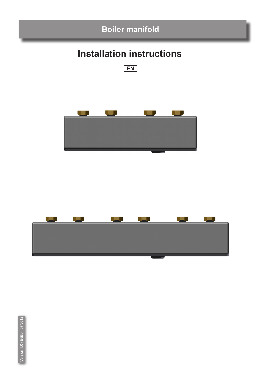

# **Installation instructions**





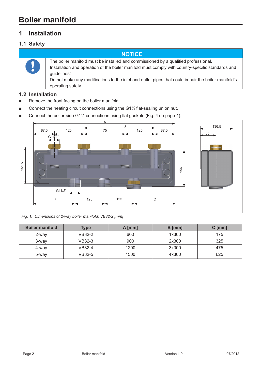## **1 Installation**

#### **1.1 Safety**

**notice** The boiler manifold must be installed and commissioned by a qualified professional. Installation and operation of the boiler manifold must comply with country-specific standards and guidelines! Do not make any modifications to the inlet and outlet pipes that could impair the boiler manifold's operating safety.

#### **1.2 Installation**

- Remove the front facing on the boiler manifold.
- Connect the heating circuit connections using the G1½ flat-sealing union nut.
- Connect the boiler-side G1 $\frac{1}{2}$  connections using flat gaskets (Fig. 4 on page 4).



*Fig. 1: Dimensions of 2-way boiler manifold; VB32-2 [mm]*

| <b>Boiler manifold</b> | <b>Type</b> | $A$ [mm] | $B$ [mm] | $C$ [mm] |
|------------------------|-------------|----------|----------|----------|
| 2-way                  | VB32-2      | 600      | 1x300    | 175      |
| 3-way                  | VB32-3      | 900      | 2x300    | 325      |
| 4-way                  | VB32-4      | 1200     | 3x300    | 475      |
| 5-way                  | VB32-5      | 1500     | 4x300    | 625      |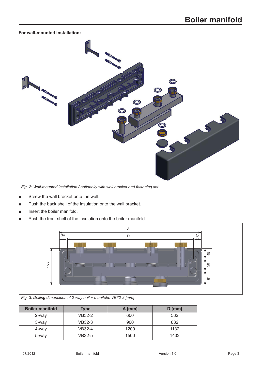#### **For wall-mounted installation:**



*Fig. 2: Wall-mounted installation / optionally with wall bracket and fastening set*

- Screw the wall bracket onto the wall.
- Push the back shell of the insulation onto the wall bracket.
- Insert the boiler manifold.
- Push the front shell of the insulation onto the boiler manifold.



*Fig. 3: Drilling dimensions of 2-way boiler manifold; VB32-2 [mm]*

| <b>Boiler manifold</b> | <b>Type</b> | $A$ [mm] | $D$ [mm] |
|------------------------|-------------|----------|----------|
| 2-way                  | VB32-2      | 600      | 532      |
| 3-way                  | VB32-3      | 900      | 832      |
| 4-way                  | VB32-4      | 1200     | 1132     |
| 5-way                  | VB32-5      | 1500     | 1432     |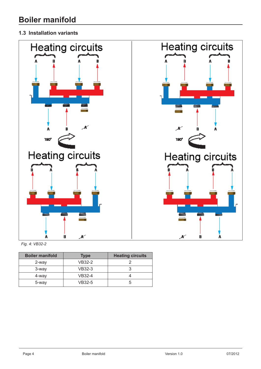#### **1.3 Installation variants**



*Fig. 4: VB32-2*

| <b>Boiler manifold</b> | <b>Type</b> | <b>Heating circuits</b> |
|------------------------|-------------|-------------------------|
| 2-way                  | VB32-2      |                         |
| 3-way                  | VB32-3      |                         |
| 4-way                  | VB32-4      |                         |
| 5-way                  | VB32-5      | h                       |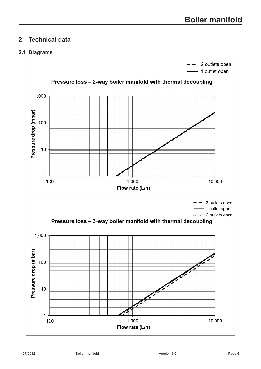## **2 Technical data**

#### **2.1 Diagrams**

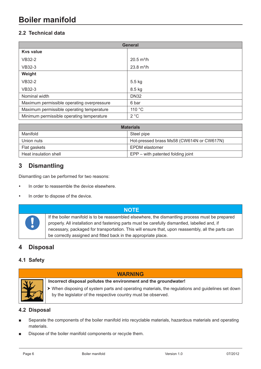## **Boiler manifold**

#### **2.2 Technical data**

| <b>General</b>                             |                      |  |
|--------------------------------------------|----------------------|--|
| <b>Kys value</b>                           |                      |  |
| <b>VB32-2</b>                              | $20.5 \text{ m}^3/h$ |  |
| <b>VB32-3</b>                              | $23.8 \text{ m}^3/h$ |  |
| Weight                                     |                      |  |
| <b>VB32-2</b>                              | 5.5 kg               |  |
| <b>VB32-3</b>                              | 8.5 kg               |  |
| Nominal width                              | <b>DN32</b>          |  |
| Maximum permissible operating overpressure | 6 bar                |  |
| Maximum permissible operating temperature  | 110 °C               |  |
| Minimum permissible operating temperature  | 2 °C                 |  |

| <b>Materials</b>      |                                           |  |
|-----------------------|-------------------------------------------|--|
| Manifold              | Steel pipe                                |  |
| Union nuts            | Hot-pressed brass Ms58 (CW614N or CW617N) |  |
| Flat gaskets          | EPDM elastomer                            |  |
| Heat insulation shell | EPP – with patented folding joint         |  |

## **3 Dismantling**

Dismantling can be performed for two reasons:

- In order to reassemble the device elsewhere.
- In order to dispose of the device.



#### **NOTE**

If the boiler manifold is to be reassembled elsewhere, the dismantling process must be prepared properly. All installation and fastening parts must be carefully dismantled, labelled and, if necessary, packaged for transportation. This will ensure that, upon reassembly, all the parts can be correctly assigned and fitted back in the appropriate place.

## **4 Disposal**

#### **4.1 Safety**



### **Incorrect disposal pollutes the environment and the groundwater!**

� When disposing of system parts and operating materials, the regulations and guidelines set down by the legislator of the respective country must be observed.

#### **4.2 Disposal**

■ Separate the components of the boiler manifold into recyclable materials, hazardous materials and operating materials.

**warning**

Dispose of the boiler manifold components or recycle them.